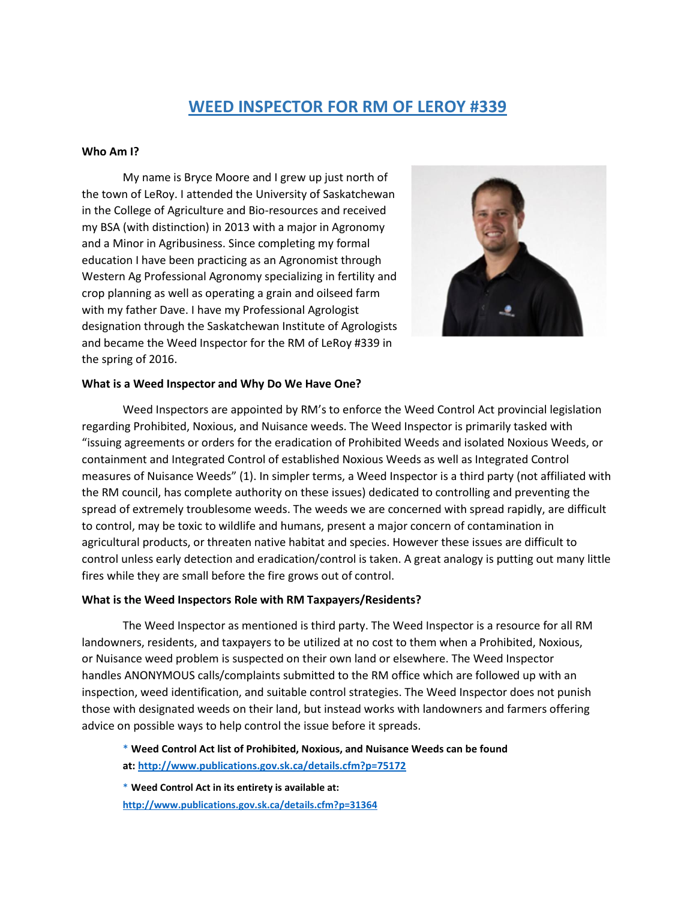# **WEED INSPECTOR FOR RM OF LEROY #339**

### **Who Am I?**

My name is Bryce Moore and I grew up just north of the town of LeRoy. I attended the University of Saskatchewan in the College of Agriculture and Bio-resources and received my BSA (with distinction) in 2013 with a major in Agronomy and a Minor in Agribusiness. Since completing my formal education I have been practicing as an Agronomist through Western Ag Professional Agronomy specializing in fertility and crop planning as well as operating a grain and oilseed farm with my father Dave. I have my Professional Agrologist designation through the Saskatchewan Institute of Agrologists and became the Weed Inspector for the RM of LeRoy #339 in the spring of 2016.



### **What is a Weed Inspector and Why Do We Have One?**

Weed Inspectors are appointed by RM's to enforce the Weed Control Act provincial legislation regarding Prohibited, Noxious, and Nuisance weeds. The Weed Inspector is primarily tasked with "issuing agreements or orders for the eradication of Prohibited Weeds and isolated Noxious Weeds, or containment and Integrated Control of established Noxious Weeds as well as Integrated Control measures of Nuisance Weeds" (1). In simpler terms, a Weed Inspector is a third party (not affiliated with the RM council, has complete authority on these issues) dedicated to controlling and preventing the spread of extremely troublesome weeds. The weeds we are concerned with spread rapidly, are difficult to control, may be toxic to wildlife and humans, present a major concern of contamination in agricultural products, or threaten native habitat and species. However these issues are difficult to control unless early detection and eradication/control is taken. A great analogy is putting out many little fires while they are small before the fire grows out of control.

## **What is the Weed Inspectors Role with RM Taxpayers/Residents?**

The Weed Inspector as mentioned is third party. The Weed Inspector is a resource for all RM landowners, residents, and taxpayers to be utilized at no cost to them when a Prohibited, Noxious, or Nuisance weed problem is suspected on their own land or elsewhere. The Weed Inspector handles ANONYMOUS calls/complaints submitted to the RM office which are followed up with an inspection, weed identification, and suitable control strategies. The Weed Inspector does not punish those with designated weeds on their land, but instead works with landowners and farmers offering advice on possible ways to help control the issue before it spreads.

\* **Weed Control Act list of Prohibited, Noxious, and Nuisance Weeds can be found** 

**at[: http://www.publications.gov.sk.ca/details.cfm?p=75172](http://www.publications.gov.sk.ca/details.cfm?p=75172)**

\* **Weed Control Act in its entirety is available at: <http://www.publications.gov.sk.ca/details.cfm?p=31364>**